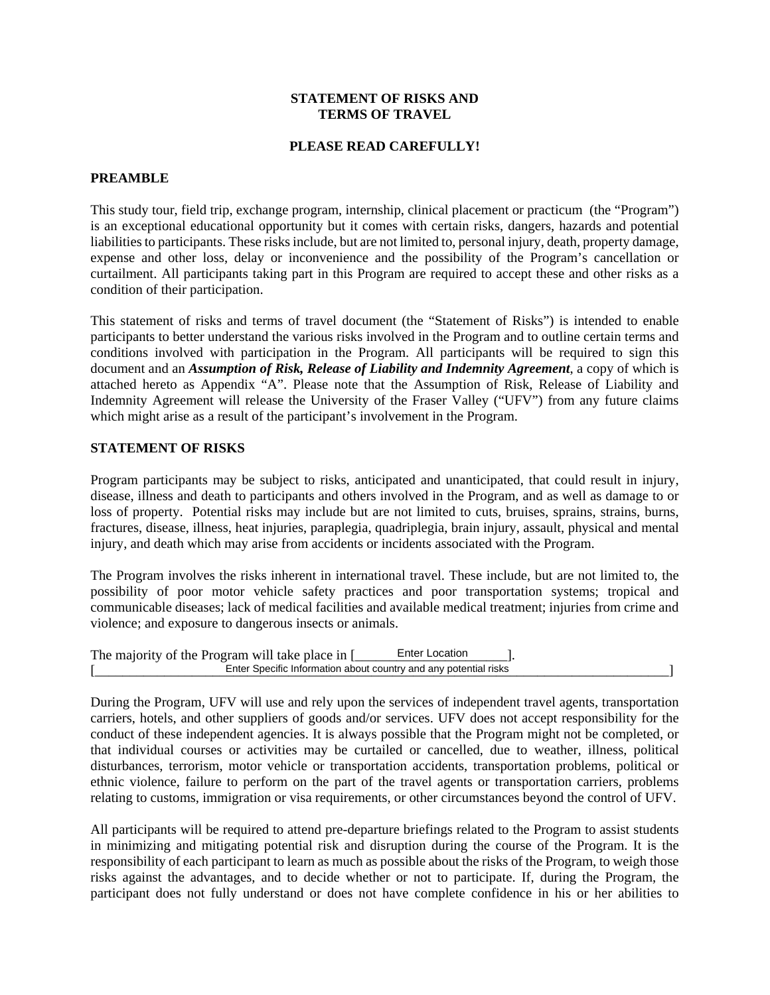## **STATEMENT OF RISKS AND TERMS OF TRAVEL**

# **PLEASE READ CAREFULLY!**

#### **PREAMBLE**

This study tour, field trip, exchange program, internship, clinical placement or practicum (the "Program") is an exceptional educational opportunity but it comes with certain risks, dangers, hazards and potential liabilities to participants. These risks include, but are not limited to, personal injury, death, property damage, expense and other loss, delay or inconvenience and the possibility of the Program's cancellation or curtailment. All participants taking part in this Program are required to accept these and other risks as a condition of their participation.

This statement of risks and terms of travel document (the "Statement of Risks") is intended to enable participants to better understand the various risks involved in the Program and to outline certain terms and conditions involved with participation in the Program. All participants will be required to sign this document and an *Assumption of Risk, Release of Liability and Indemnity Agreement*, a copy of which is attached hereto as Appendix "A". Please note that the Assumption of Risk, Release of Liability and Indemnity Agreement will release the University of the Fraser Valley ("UFV") from any future claims which might arise as a result of the participant's involvement in the Program.

# **STATEMENT OF RISKS**

Program participants may be subject to risks, anticipated and unanticipated, that could result in injury, disease, illness and death to participants and others involved in the Program, and as well as damage to or loss of property. Potential risks may include but are not limited to cuts, bruises, sprains, strains, burns, fractures, disease, illness, heat injuries, paraplegia, quadriplegia, brain injury, assault, physical and mental injury, and death which may arise from accidents or incidents associated with the Program.

The Program involves the risks inherent in international travel. These include, but are not limited to, the possibility of poor motor vehicle safety practices and poor transportation systems; tropical and communicable diseases; lack of medical facilities and available medical treatment; injuries from crime and violence; and exposure to dangerous insects or animals.

| The majority of the Program will take place in [                 | <b>Enter Location</b> |  |  |
|------------------------------------------------------------------|-----------------------|--|--|
| Enter Specific Information about country and any potential risks |                       |  |  |

During the Program, UFV will use and rely upon the services of independent travel agents, transportation carriers, hotels, and other suppliers of goods and/or services. UFV does not accept responsibility for the conduct of these independent agencies. It is always possible that the Program might not be completed, or that individual courses or activities may be curtailed or cancelled, due to weather, illness, political disturbances, terrorism, motor vehicle or transportation accidents, transportation problems, political or ethnic violence, failure to perform on the part of the travel agents or transportation carriers, problems relating to customs, immigration or visa requirements, or other circumstances beyond the control of UFV.

All participants will be required to attend pre-departure briefings related to the Program to assist students in minimizing and mitigating potential risk and disruption during the course of the Program. It is the responsibility of each participant to learn as much as possible about the risks of the Program, to weigh those risks against the advantages, and to decide whether or not to participate. If, during the Program, the participant does not fully understand or does not have complete confidence in his or her abilities to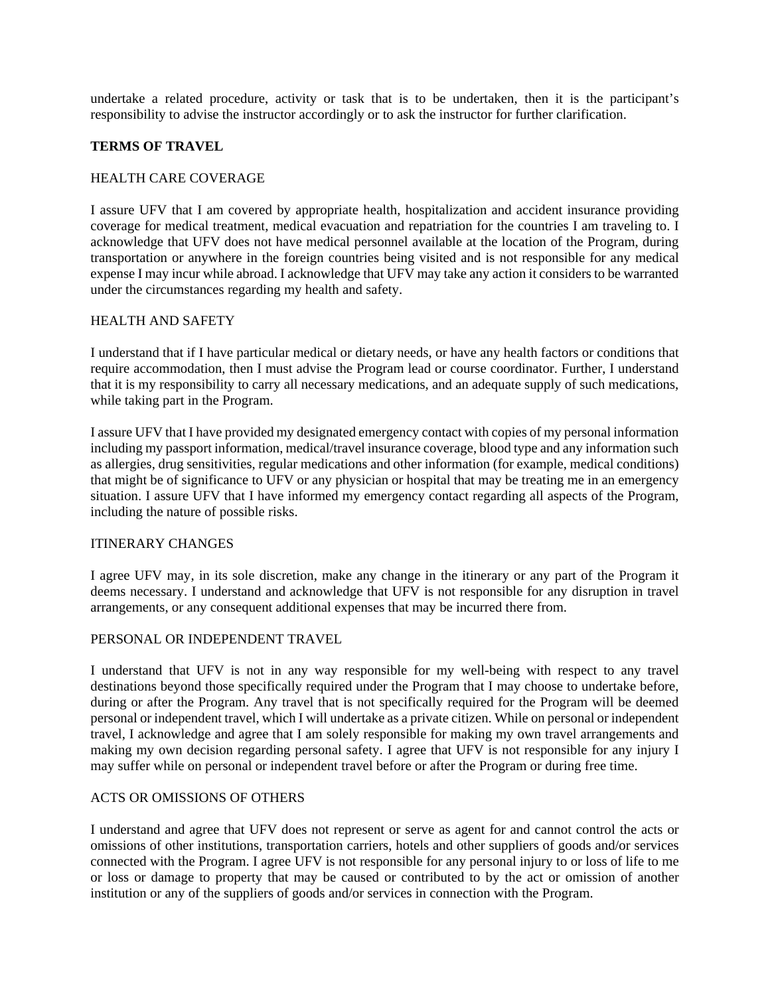undertake a related procedure, activity or task that is to be undertaken, then it is the participant's responsibility to advise the instructor accordingly or to ask the instructor for further clarification.

# **TERMS OF TRAVEL**

#### HEALTH CARE COVERAGE

I assure UFV that I am covered by appropriate health, hospitalization and accident insurance providing coverage for medical treatment, medical evacuation and repatriation for the countries I am traveling to. I acknowledge that UFV does not have medical personnel available at the location of the Program, during transportation or anywhere in the foreign countries being visited and is not responsible for any medical expense I may incur while abroad. I acknowledge that UFV may take any action it considers to be warranted under the circumstances regarding my health and safety.

## HEALTH AND SAFETY

I understand that if I have particular medical or dietary needs, or have any health factors or conditions that require accommodation, then I must advise the Program lead or course coordinator. Further, I understand that it is my responsibility to carry all necessary medications, and an adequate supply of such medications, while taking part in the Program.

I assure UFV that I have provided my designated emergency contact with copies of my personal information including my passport information, medical/travel insurance coverage, blood type and any information such as allergies, drug sensitivities, regular medications and other information (for example, medical conditions) that might be of significance to UFV or any physician or hospital that may be treating me in an emergency situation. I assure UFV that I have informed my emergency contact regarding all aspects of the Program, including the nature of possible risks.

#### ITINERARY CHANGES

I agree UFV may, in its sole discretion, make any change in the itinerary or any part of the Program it deems necessary. I understand and acknowledge that UFV is not responsible for any disruption in travel arrangements, or any consequent additional expenses that may be incurred there from.

### PERSONAL OR INDEPENDENT TRAVEL

I understand that UFV is not in any way responsible for my well-being with respect to any travel destinations beyond those specifically required under the Program that I may choose to undertake before, during or after the Program. Any travel that is not specifically required for the Program will be deemed personal or independent travel, which I will undertake as a private citizen. While on personal or independent travel, I acknowledge and agree that I am solely responsible for making my own travel arrangements and making my own decision regarding personal safety. I agree that UFV is not responsible for any injury I may suffer while on personal or independent travel before or after the Program or during free time.

## ACTS OR OMISSIONS OF OTHERS

I understand and agree that UFV does not represent or serve as agent for and cannot control the acts or omissions of other institutions, transportation carriers, hotels and other suppliers of goods and/or services connected with the Program. I agree UFV is not responsible for any personal injury to or loss of life to me or loss or damage to property that may be caused or contributed to by the act or omission of another institution or any of the suppliers of goods and/or services in connection with the Program.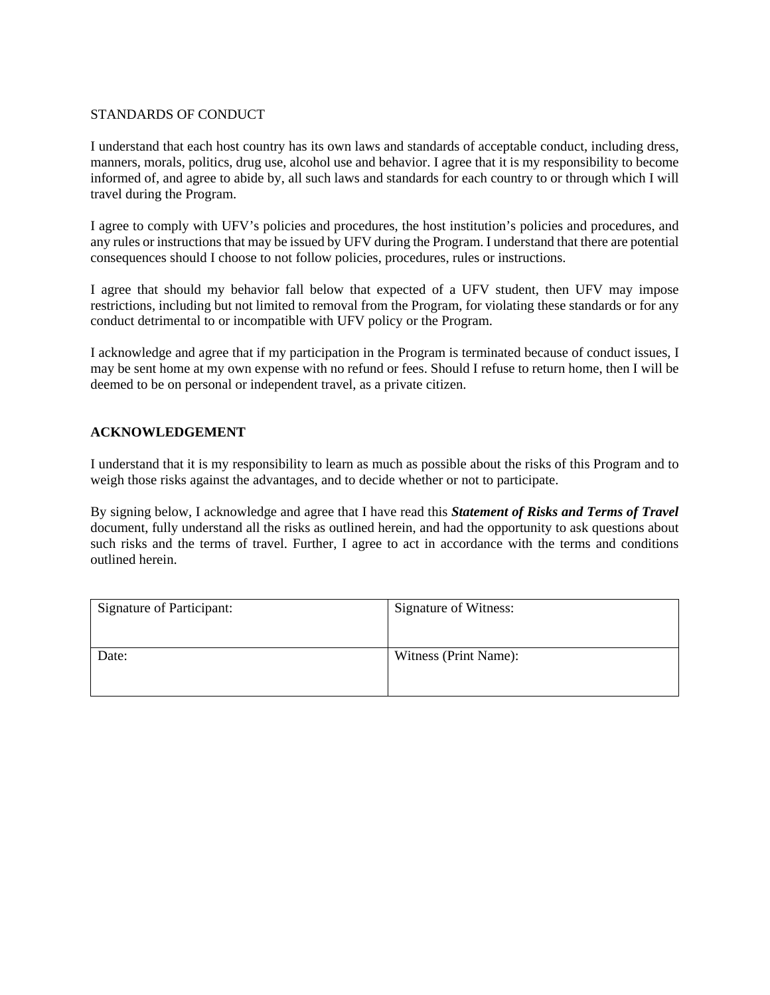# STANDARDS OF CONDUCT

I understand that each host country has its own laws and standards of acceptable conduct, including dress, manners, morals, politics, drug use, alcohol use and behavior. I agree that it is my responsibility to become informed of, and agree to abide by, all such laws and standards for each country to or through which I will travel during the Program.

I agree to comply with UFV's policies and procedures, the host institution's policies and procedures, and any rules or instructions that may be issued by UFV during the Program. I understand that there are potential consequences should I choose to not follow policies, procedures, rules or instructions.

I agree that should my behavior fall below that expected of a UFV student, then UFV may impose restrictions, including but not limited to removal from the Program, for violating these standards or for any conduct detrimental to or incompatible with UFV policy or the Program.

I acknowledge and agree that if my participation in the Program is terminated because of conduct issues, I may be sent home at my own expense with no refund or fees. Should I refuse to return home, then I will be deemed to be on personal or independent travel, as a private citizen.

# **ACKNOWLEDGEMENT**

I understand that it is my responsibility to learn as much as possible about the risks of this Program and to weigh those risks against the advantages, and to decide whether or not to participate.

By signing below, I acknowledge and agree that I have read this *Statement of Risks and Terms of Travel* document, fully understand all the risks as outlined herein, and had the opportunity to ask questions about such risks and the terms of travel. Further, I agree to act in accordance with the terms and conditions outlined herein.

| Signature of Participant: | <b>Signature of Witness:</b> |  |
|---------------------------|------------------------------|--|
|                           |                              |  |
| Date:                     | Witness (Print Name):        |  |
|                           |                              |  |